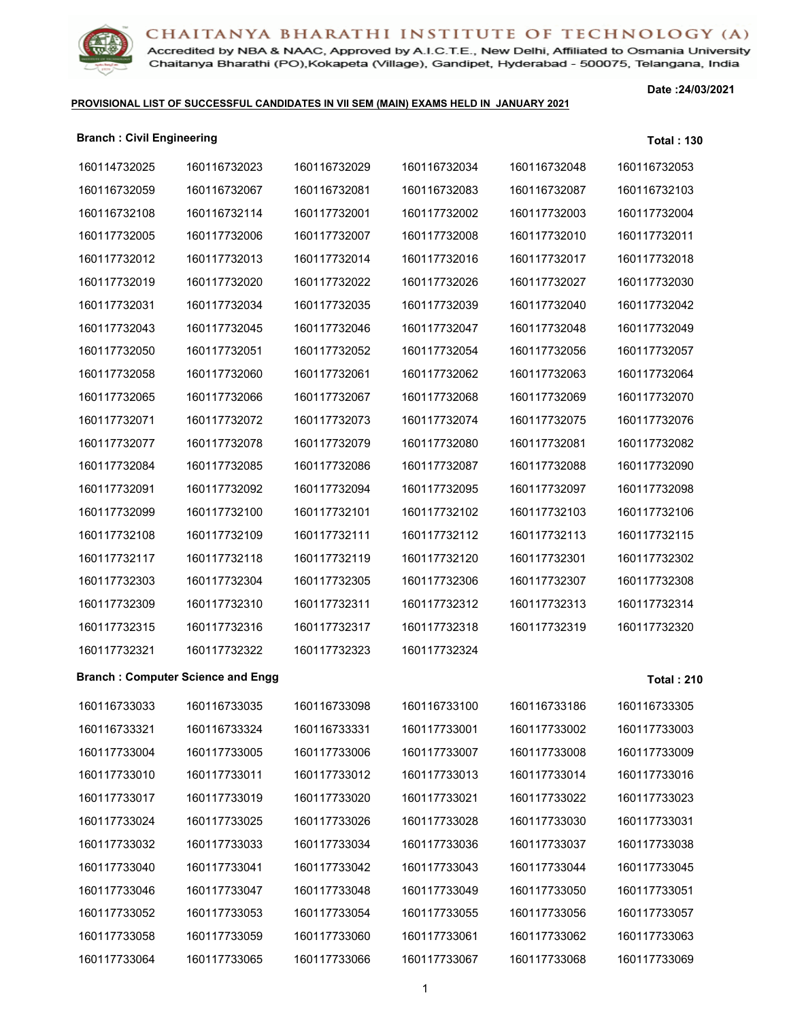Accredited by NBA & NAAC, Approved by A.I.C.T.E., New Delhi, Affiliated to Osmania University Chaitanya Bharathi (PO), Kokapeta (Village), Gandipet, Hyderabad - 500075, Telangana, India

#### **PROVISIONAL LIST OF SUCCESSFUL CANDIDATES IN VII SEM (MAIN) EXAMS HELD IN JANUARY 2021**

**Date :24/03/2021**

| <b>Branch: Civil Engineering</b> |                                          |              |              |              | <b>Total: 130</b> |
|----------------------------------|------------------------------------------|--------------|--------------|--------------|-------------------|
| 160114732025                     | 160116732023                             | 160116732029 | 160116732034 | 160116732048 | 160116732053      |
| 160116732059                     | 160116732067                             | 160116732081 | 160116732083 | 160116732087 | 160116732103      |
| 160116732108                     | 160116732114                             | 160117732001 | 160117732002 | 160117732003 | 160117732004      |
| 160117732005                     | 160117732006                             | 160117732007 | 160117732008 | 160117732010 | 160117732011      |
| 160117732012                     | 160117732013                             | 160117732014 | 160117732016 | 160117732017 | 160117732018      |
| 160117732019                     | 160117732020                             | 160117732022 | 160117732026 | 160117732027 | 160117732030      |
| 160117732031                     | 160117732034                             | 160117732035 | 160117732039 | 160117732040 | 160117732042      |
| 160117732043                     | 160117732045                             | 160117732046 | 160117732047 | 160117732048 | 160117732049      |
| 160117732050                     | 160117732051                             | 160117732052 | 160117732054 | 160117732056 | 160117732057      |
| 160117732058                     | 160117732060                             | 160117732061 | 160117732062 | 160117732063 | 160117732064      |
| 160117732065                     | 160117732066                             | 160117732067 | 160117732068 | 160117732069 | 160117732070      |
| 160117732071                     | 160117732072                             | 160117732073 | 160117732074 | 160117732075 | 160117732076      |
| 160117732077                     | 160117732078                             | 160117732079 | 160117732080 | 160117732081 | 160117732082      |
| 160117732084                     | 160117732085                             | 160117732086 | 160117732087 | 160117732088 | 160117732090      |
| 160117732091                     | 160117732092                             | 160117732094 | 160117732095 | 160117732097 | 160117732098      |
| 160117732099                     | 160117732100                             | 160117732101 | 160117732102 | 160117732103 | 160117732106      |
| 160117732108                     | 160117732109                             | 160117732111 | 160117732112 | 160117732113 | 160117732115      |
| 160117732117                     | 160117732118                             | 160117732119 | 160117732120 | 160117732301 | 160117732302      |
| 160117732303                     | 160117732304                             | 160117732305 | 160117732306 | 160117732307 | 160117732308      |
| 160117732309                     | 160117732310                             | 160117732311 | 160117732312 | 160117732313 | 160117732314      |
| 160117732315                     | 160117732316                             | 160117732317 | 160117732318 | 160117732319 | 160117732320      |
| 160117732321                     | 160117732322                             | 160117732323 | 160117732324 |              |                   |
|                                  | <b>Branch: Computer Science and Engg</b> |              |              |              | <b>Total: 210</b> |
|                                  | 160116733033  160116733035  160116733098 |              | 160116733100 | 160116733186 | 160116733305      |
| 160116733321                     | 160116733324                             | 160116733331 | 160117733001 | 160117733002 | 160117733003      |
| 160117733004                     | 160117733005                             | 160117733006 | 160117733007 | 160117733008 | 160117733009      |
| 160117733010                     | 160117733011                             | 160117733012 | 160117733013 | 160117733014 | 160117733016      |
| 160117733017                     | 160117733019                             | 160117733020 | 160117733021 | 160117733022 | 160117733023      |
| 160117733024                     | 160117733025                             | 160117733026 | 160117733028 | 160117733030 | 160117733031      |
| 160117733032                     | 160117733033                             | 160117733034 | 160117733036 | 160117733037 | 160117733038      |
| 160117733040                     | 160117733041                             | 160117733042 | 160117733043 | 160117733044 | 160117733045      |
| 160117733046                     | 160117733047                             | 160117733048 | 160117733049 | 160117733050 | 160117733051      |
| 160117733052                     | 160117733053                             | 160117733054 | 160117733055 | 160117733056 | 160117733057      |
| 160117733058                     | 160117733059                             | 160117733060 | 160117733061 | 160117733062 | 160117733063      |

160117733065 160117733066 160117733067 160117733068 160117733069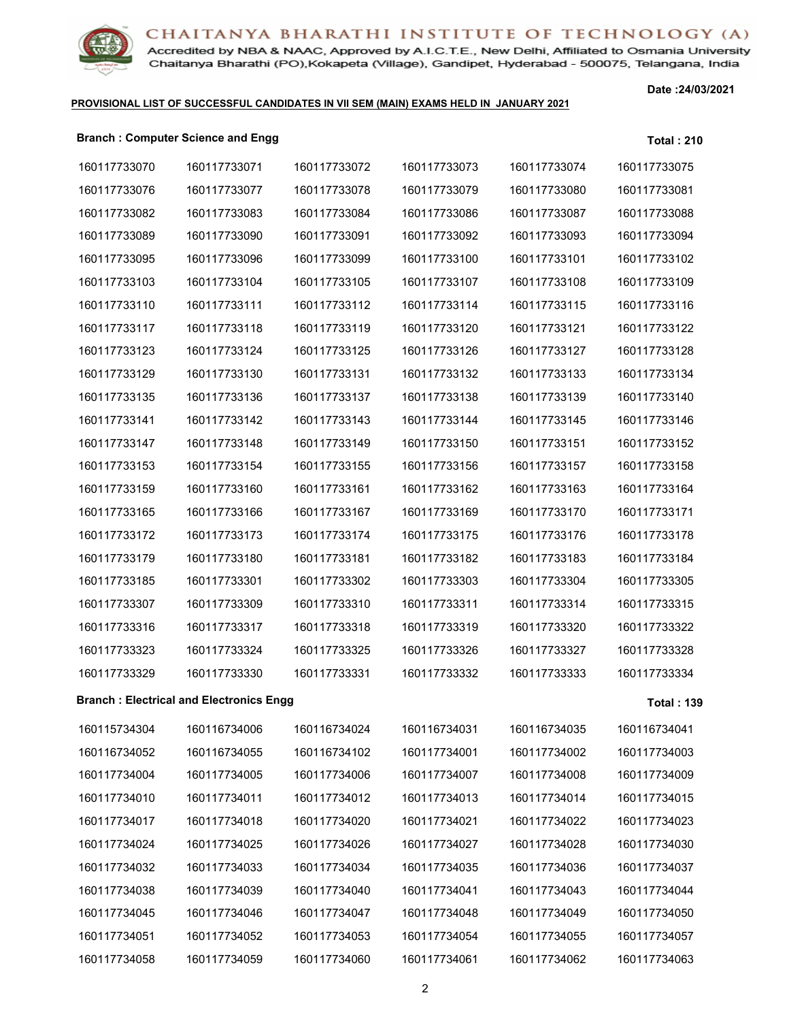

Accredited by NBA & NAAC, Approved by A.I.C.T.E., New Delhi, Affiliated to Osmania University Chaitanya Bharathi (PO), Kokapeta (Village), Gandipet, Hyderabad - 500075, Telangana, India

#### **PROVISIONAL LIST OF SUCCESSFUL CANDIDATES IN VII SEM (MAIN) EXAMS HELD IN JANUARY 2021**

**Date :24/03/2021**

#### **Branch : Computer Science and Engg Total : 210**

| 160117733070 | 160117733071                                   | 160117733072 | 160117733073 | 160117733074 | 160117733075      |
|--------------|------------------------------------------------|--------------|--------------|--------------|-------------------|
| 160117733076 | 160117733077                                   | 160117733078 | 160117733079 | 160117733080 | 160117733081      |
| 160117733082 | 160117733083                                   | 160117733084 | 160117733086 | 160117733087 | 160117733088      |
| 160117733089 | 160117733090                                   | 160117733091 | 160117733092 | 160117733093 | 160117733094      |
| 160117733095 | 160117733096                                   | 160117733099 | 160117733100 | 160117733101 | 160117733102      |
| 160117733103 | 160117733104                                   | 160117733105 | 160117733107 | 160117733108 | 160117733109      |
| 160117733110 | 160117733111                                   | 160117733112 | 160117733114 | 160117733115 | 160117733116      |
| 160117733117 | 160117733118                                   | 160117733119 | 160117733120 | 160117733121 | 160117733122      |
| 160117733123 | 160117733124                                   | 160117733125 | 160117733126 | 160117733127 | 160117733128      |
| 160117733129 | 160117733130                                   | 160117733131 | 160117733132 | 160117733133 | 160117733134      |
| 160117733135 | 160117733136                                   | 160117733137 | 160117733138 | 160117733139 | 160117733140      |
| 160117733141 | 160117733142                                   | 160117733143 | 160117733144 | 160117733145 | 160117733146      |
| 160117733147 | 160117733148                                   | 160117733149 | 160117733150 | 160117733151 | 160117733152      |
| 160117733153 | 160117733154                                   | 160117733155 | 160117733156 | 160117733157 | 160117733158      |
| 160117733159 | 160117733160                                   | 160117733161 | 160117733162 | 160117733163 | 160117733164      |
| 160117733165 | 160117733166                                   | 160117733167 | 160117733169 | 160117733170 | 160117733171      |
| 160117733172 | 160117733173                                   | 160117733174 | 160117733175 | 160117733176 | 160117733178      |
| 160117733179 | 160117733180                                   | 160117733181 | 160117733182 | 160117733183 | 160117733184      |
| 160117733185 | 160117733301                                   | 160117733302 | 160117733303 | 160117733304 | 160117733305      |
| 160117733307 | 160117733309                                   | 160117733310 | 160117733311 | 160117733314 | 160117733315      |
| 160117733316 | 160117733317                                   | 160117733318 | 160117733319 | 160117733320 | 160117733322      |
| 160117733323 | 160117733324                                   | 160117733325 | 160117733326 | 160117733327 | 160117733328      |
| 160117733329 | 160117733330                                   | 160117733331 | 160117733332 | 160117733333 | 160117733334      |
|              | <b>Branch: Electrical and Electronics Engg</b> |              |              |              | <b>Total: 139</b> |
| 160115734304 | 160116734006                                   | 160116734024 | 160116734031 | 160116734035 | 160116734041      |
| 160116734052 | 160116734055                                   | 160116734102 | 160117734001 | 160117734002 | 160117734003      |
| 160117734004 | 160117734005                                   | 160117734006 | 160117734007 | 160117734008 | 160117734009      |
| 160117734010 | 160117734011                                   | 160117734012 | 160117734013 | 160117734014 | 160117734015      |
| 160117734017 | 160117734018                                   | 160117734020 | 160117734021 | 160117734022 | 160117734023      |
| 160117734024 | 160117734025                                   | 160117734026 | 160117734027 | 160117734028 | 160117734030      |
| 160117734032 | 160117734033                                   | 160117734034 | 160117734035 | 160117734036 | 160117734037      |
| 160117734038 | 160117734039                                   | 160117734040 | 160117734041 | 160117734043 | 160117734044      |
| 160117734045 | 160117734046                                   | 160117734047 | 160117734048 | 160117734049 | 160117734050      |
| 160117734051 | 160117734052                                   | 160117734053 | 160117734054 | 160117734055 | 160117734057      |
| 160117734058 | 160117734059                                   | 160117734060 | 160117734061 | 160117734062 | 160117734063      |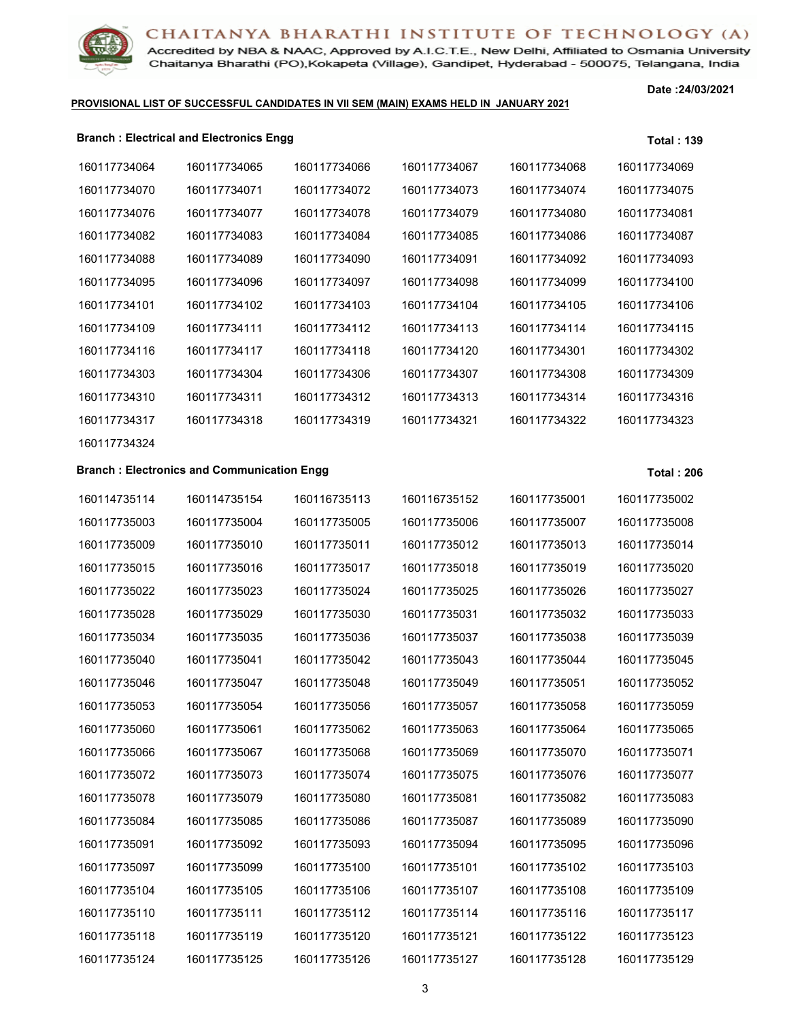

Accredited by NBA & NAAC, Approved by A.I.C.T.E., New Delhi, Affiliated to Osmania University Chaitanya Bharathi (PO), Kokapeta (Village), Gandipet, Hyderabad - 500075, Telangana, India

#### **PROVISIONAL LIST OF SUCCESSFUL CANDIDATES IN VII SEM (MAIN) EXAMS HELD IN JANUARY 2021**

**Date :24/03/2021**

| <b>Branch: Electrical and Electronics Engg.</b> | <b>Total: 139</b> |
|-------------------------------------------------|-------------------|
|                                                 |                   |

| 160117734064 | 160117734065                                      | 160117734066 | 160117734067 | 160117734068 | 160117734069      |
|--------------|---------------------------------------------------|--------------|--------------|--------------|-------------------|
| 160117734070 | 160117734071                                      | 160117734072 | 160117734073 | 160117734074 | 160117734075      |
| 160117734076 | 160117734077                                      | 160117734078 | 160117734079 | 160117734080 | 160117734081      |
| 160117734082 | 160117734083                                      | 160117734084 | 160117734085 | 160117734086 | 160117734087      |
| 160117734088 | 160117734089                                      | 160117734090 | 160117734091 | 160117734092 | 160117734093      |
| 160117734095 | 160117734096                                      | 160117734097 | 160117734098 | 160117734099 | 160117734100      |
| 160117734101 | 160117734102                                      | 160117734103 | 160117734104 | 160117734105 | 160117734106      |
| 160117734109 | 160117734111                                      | 160117734112 | 160117734113 | 160117734114 | 160117734115      |
| 160117734116 | 160117734117                                      | 160117734118 | 160117734120 | 160117734301 | 160117734302      |
| 160117734303 | 160117734304                                      | 160117734306 | 160117734307 | 160117734308 | 160117734309      |
| 160117734310 | 160117734311                                      | 160117734312 | 160117734313 | 160117734314 | 160117734316      |
| 160117734317 | 160117734318                                      | 160117734319 | 160117734321 | 160117734322 | 160117734323      |
| 160117734324 |                                                   |              |              |              |                   |
|              | <b>Branch: Electronics and Communication Engg</b> |              |              |              | <b>Total: 206</b> |
| 160114735114 | 160114735154                                      | 160116735113 | 160116735152 | 160117735001 | 160117735002      |
| 160117735003 | 160117735004                                      | 160117735005 | 160117735006 | 160117735007 | 160117735008      |
| 160117735009 | 160117735010                                      | 160117735011 | 160117735012 | 160117735013 | 160117735014      |
| 160117735015 | 160117735016                                      | 160117735017 | 160117735018 | 160117735019 | 160117735020      |
| 160117735022 | 160117735023                                      | 160117735024 | 160117735025 | 160117735026 | 160117735027      |
| 160117735028 | 160117735029                                      | 160117735030 | 160117735031 | 160117735032 | 160117735033      |
| 160117735034 | 160117735035                                      | 160117735036 | 160117735037 | 160117735038 | 160117735039      |
| 160117735040 | 160117735041                                      | 160117735042 | 160117735043 | 160117735044 | 160117735045      |
| 160117735046 | 160117735047                                      | 160117735048 | 160117735049 | 160117735051 | 160117735052      |
| 160117735053 | 160117735054                                      | 160117735056 | 160117735057 | 160117735058 | 160117735059      |
| 160117735060 | 160117735061                                      | 160117735062 | 160117735063 | 160117735064 | 160117735065      |
| 160117735066 | 160117735067                                      | 160117735068 | 160117735069 | 160117735070 | 160117735071      |
| 160117735072 | 160117735073                                      | 160117735074 | 160117735075 | 160117735076 | 160117735077      |
| 160117735078 | 160117735079                                      | 160117735080 | 160117735081 | 160117735082 | 160117735083      |
| 160117735084 | 160117735085                                      | 160117735086 | 160117735087 | 160117735089 | 160117735090      |
| 160117735091 | 160117735092                                      | 160117735093 | 160117735094 | 160117735095 | 160117735096      |
| 160117735097 | 160117735099                                      | 160117735100 | 160117735101 | 160117735102 | 160117735103      |
| 160117735104 | 160117735105                                      | 160117735106 | 160117735107 | 160117735108 | 160117735109      |
| 160117735110 | 160117735111                                      | 160117735112 | 160117735114 | 160117735116 | 160117735117      |
| 160117735118 | 160117735119                                      | 160117735120 | 160117735121 | 160117735122 | 160117735123      |
| 160117735124 | 160117735125                                      | 160117735126 | 160117735127 | 160117735128 | 160117735129      |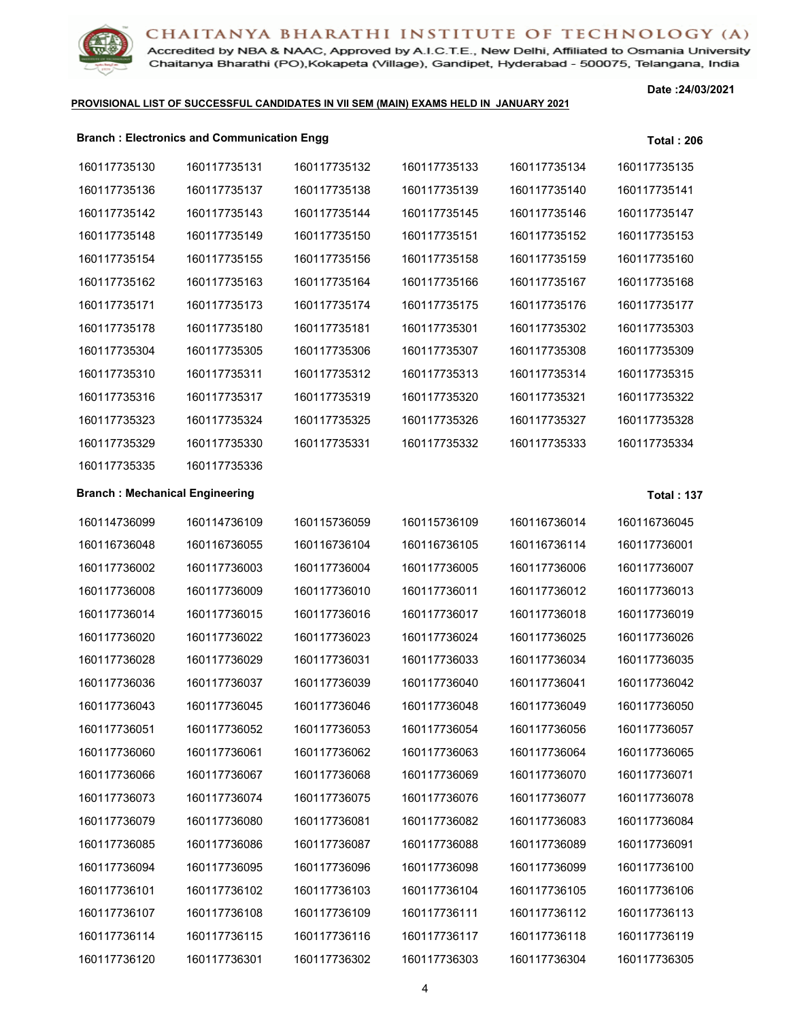

Accredited by NBA & NAAC, Approved by A.I.C.T.E., New Delhi, Affiliated to Osmania University Chaitanya Bharathi (PO), Kokapeta (Village), Gandipet, Hyderabad - 500075, Telangana, India

#### **PROVISIONAL LIST OF SUCCESSFUL CANDIDATES IN VII SEM (MAIN) EXAMS HELD IN JANUARY 2021**

**Date :24/03/2021**

|                                       | <b>Branch: Electronics and Communication Engg</b> |              |              |              | <b>Total: 206</b> |
|---------------------------------------|---------------------------------------------------|--------------|--------------|--------------|-------------------|
| 160117735130                          | 160117735131                                      | 160117735132 | 160117735133 | 160117735134 | 160117735135      |
| 160117735136                          | 160117735137                                      | 160117735138 | 160117735139 | 160117735140 | 160117735141      |
| 160117735142                          | 160117735143                                      | 160117735144 | 160117735145 | 160117735146 | 160117735147      |
| 160117735148                          | 160117735149                                      | 160117735150 | 160117735151 | 160117735152 | 160117735153      |
| 160117735154                          | 160117735155                                      | 160117735156 | 160117735158 | 160117735159 | 160117735160      |
| 160117735162                          | 160117735163                                      | 160117735164 | 160117735166 | 160117735167 | 160117735168      |
| 160117735171                          | 160117735173                                      | 160117735174 | 160117735175 | 160117735176 | 160117735177      |
| 160117735178                          | 160117735180                                      | 160117735181 | 160117735301 | 160117735302 | 160117735303      |
| 160117735304                          | 160117735305                                      | 160117735306 | 160117735307 | 160117735308 | 160117735309      |
| 160117735310                          | 160117735311                                      | 160117735312 | 160117735313 | 160117735314 | 160117735315      |
| 160117735316                          | 160117735317                                      | 160117735319 | 160117735320 | 160117735321 | 160117735322      |
| 160117735323                          | 160117735324                                      | 160117735325 | 160117735326 | 160117735327 | 160117735328      |
| 160117735329                          | 160117735330                                      | 160117735331 | 160117735332 | 160117735333 | 160117735334      |
| 160117735335                          | 160117735336                                      |              |              |              |                   |
| <b>Branch: Mechanical Engineering</b> |                                                   |              |              |              | <b>Total: 137</b> |
| 160114736099                          | 160114736109                                      | 160115736059 | 160115736109 | 160116736014 | 160116736045      |
| 160116736048                          | 160116736055                                      | 160116736104 | 160116736105 | 160116736114 | 160117736001      |
| 160117736002                          | 160117736003                                      | 160117736004 | 160117736005 | 160117736006 | 160117736007      |
| 160117736008                          | 160117736009                                      | 160117736010 | 160117736011 | 160117736012 | 160117736013      |
| 160117736014                          | 160117736015                                      | 160117736016 | 160117736017 | 160117736018 | 160117736019      |

| <b>Branch: Mechanical Engineering</b> |              |              |              |              | Total: 1     |
|---------------------------------------|--------------|--------------|--------------|--------------|--------------|
| 160114736099                          | 160114736109 | 160115736059 | 160115736109 | 160116736014 | 160116736045 |
| 160116736048                          | 160116736055 | 160116736104 | 160116736105 | 160116736114 | 160117736001 |
| 160117736002                          | 160117736003 | 160117736004 | 160117736005 | 160117736006 | 160117736007 |
| 160117736008                          | 160117736009 | 160117736010 | 160117736011 | 160117736012 | 160117736013 |
| 160117736014                          | 160117736015 | 160117736016 | 160117736017 | 160117736018 | 160117736019 |
| 160117736020                          | 160117736022 | 160117736023 | 160117736024 | 160117736025 | 160117736026 |
| 160117736028                          | 160117736029 | 160117736031 | 160117736033 | 160117736034 | 160117736035 |
| 160117736036                          | 160117736037 | 160117736039 | 160117736040 | 160117736041 | 160117736042 |
| 160117736043                          | 160117736045 | 160117736046 | 160117736048 | 160117736049 | 160117736050 |
| 160117736051                          | 160117736052 | 160117736053 | 160117736054 | 160117736056 | 160117736057 |
| 160117736060                          | 160117736061 | 160117736062 | 160117736063 | 160117736064 | 160117736065 |
| 160117736066                          | 160117736067 | 160117736068 | 160117736069 | 160117736070 | 160117736071 |
| 160117736073                          | 160117736074 | 160117736075 | 160117736076 | 160117736077 | 160117736078 |
| 160117736079                          | 160117736080 | 160117736081 | 160117736082 | 160117736083 | 160117736084 |
| 160117736085                          | 160117736086 | 160117736087 | 160117736088 | 160117736089 | 160117736091 |
| 160117736094                          | 160117736095 | 160117736096 | 160117736098 | 160117736099 | 160117736100 |
| 160117736101                          | 160117736102 | 160117736103 | 160117736104 | 160117736105 | 160117736106 |
| 160117736107                          | 160117736108 | 160117736109 | 160117736111 | 160117736112 | 160117736113 |
| 160117736114                          | 160117736115 | 160117736116 | 160117736117 | 160117736118 | 160117736119 |
| 160117736120                          | 160117736301 | 160117736302 | 160117736303 | 160117736304 | 160117736305 |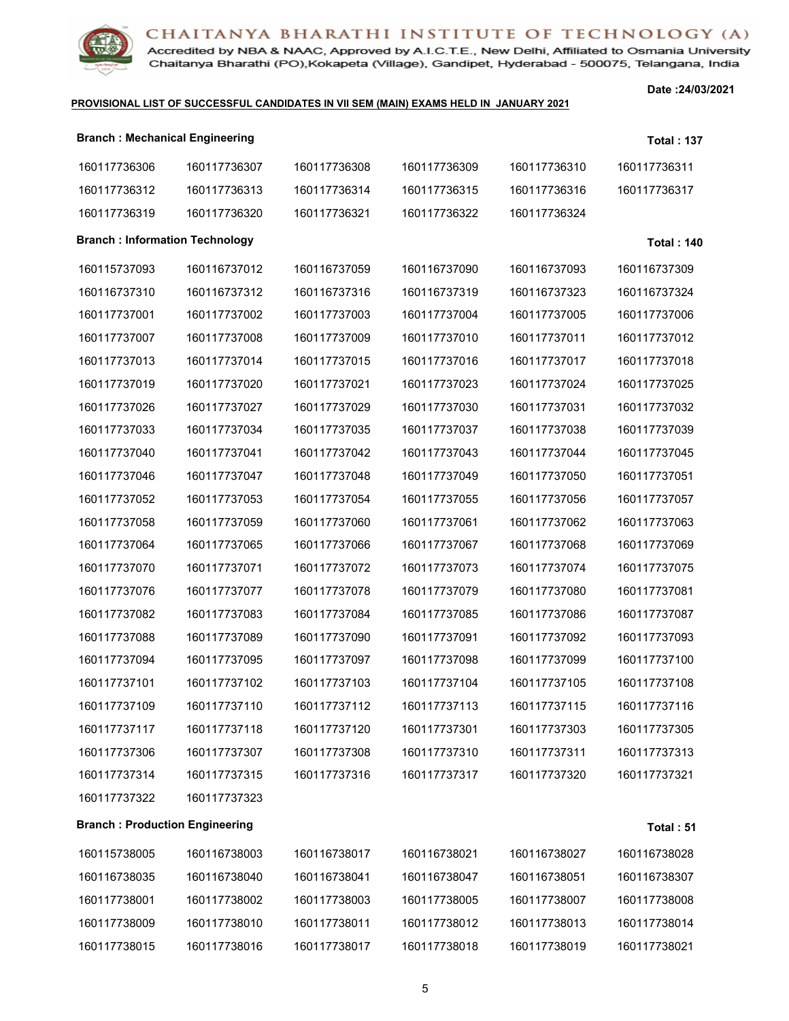

Accredited by NBA & NAAC, Approved by A.I.C.T.E., New Delhi, Affiliated to Osmania University Chaitanya Bharathi (PO), Kokapeta (Village), Gandipet, Hyderabad - 500075, Telangana, India

#### **PROVISIONAL LIST OF SUCCESSFUL CANDIDATES IN VII SEM (MAIN) EXAMS HELD IN JANUARY 2021**

**Date :24/03/2021**

| <b>Branch: Mechanical Engineering</b> |              |              |              |              | <b>Total: 137</b> |
|---------------------------------------|--------------|--------------|--------------|--------------|-------------------|
| 160117736306                          | 160117736307 | 160117736308 | 160117736309 | 160117736310 | 160117736311      |
| 160117736312                          | 160117736313 | 160117736314 | 160117736315 | 160117736316 | 160117736317      |
| 160117736319                          | 160117736320 | 160117736321 | 160117736322 | 160117736324 |                   |
| <b>Branch: Information Technology</b> |              |              |              |              | <b>Total: 140</b> |
| 160115737093                          | 160116737012 | 160116737059 | 160116737090 | 160116737093 | 160116737309      |
| 160116737310                          | 160116737312 | 160116737316 | 160116737319 | 160116737323 | 160116737324      |
| 160117737001                          | 160117737002 | 160117737003 | 160117737004 | 160117737005 | 160117737006      |
| 160117737007                          | 160117737008 | 160117737009 | 160117737010 | 160117737011 | 160117737012      |
| 160117737013                          | 160117737014 | 160117737015 | 160117737016 | 160117737017 | 160117737018      |
| 160117737019                          | 160117737020 | 160117737021 | 160117737023 | 160117737024 | 160117737025      |
| 160117737026                          | 160117737027 | 160117737029 | 160117737030 | 160117737031 | 160117737032      |
| 160117737033                          | 160117737034 | 160117737035 | 160117737037 | 160117737038 | 160117737039      |
| 160117737040                          | 160117737041 | 160117737042 | 160117737043 | 160117737044 | 160117737045      |
| 160117737046                          | 160117737047 | 160117737048 | 160117737049 | 160117737050 | 160117737051      |
| 160117737052                          | 160117737053 | 160117737054 | 160117737055 | 160117737056 | 160117737057      |
| 160117737058                          | 160117737059 | 160117737060 | 160117737061 | 160117737062 | 160117737063      |
| 160117737064                          | 160117737065 | 160117737066 | 160117737067 | 160117737068 | 160117737069      |
| 160117737070                          | 160117737071 | 160117737072 | 160117737073 | 160117737074 | 160117737075      |
| 160117737076                          | 160117737077 | 160117737078 | 160117737079 | 160117737080 | 160117737081      |
| 160117737082                          | 160117737083 | 160117737084 | 160117737085 | 160117737086 | 160117737087      |
| 160117737088                          | 160117737089 | 160117737090 | 160117737091 | 160117737092 | 160117737093      |
| 160117737094                          | 160117737095 | 160117737097 | 160117737098 | 160117737099 | 160117737100      |
| 160117737101                          | 160117737102 | 160117737103 | 160117737104 | 160117737105 | 160117737108      |
| 160117737109                          | 160117737110 | 160117737112 | 160117737113 | 160117737115 | 160117737116      |
| 160117737117                          | 160117737118 | 160117737120 | 160117737301 | 160117737303 | 160117737305      |
| 160117737306                          | 160117737307 | 160117737308 | 160117737310 | 160117737311 | 160117737313      |
| 160117737314                          | 160117737315 | 160117737316 | 160117737317 | 160117737320 | 160117737321      |
| 160117737322                          | 160117737323 |              |              |              |                   |
| <b>Branch: Production Engineering</b> |              |              |              |              | Total: 51         |
| 160115738005                          | 160116738003 | 160116738017 | 160116738021 | 160116738027 | 160116738028      |
| 160116738035                          | 160116738040 | 160116738041 | 160116738047 | 160116738051 | 160116738307      |
| 160117738001                          | 160117738002 | 160117738003 | 160117738005 | 160117738007 | 160117738008      |
| 160117738009                          | 160117738010 | 160117738011 | 160117738012 | 160117738013 | 160117738014      |
| 160117738015                          | 160117738016 | 160117738017 | 160117738018 | 160117738019 | 160117738021      |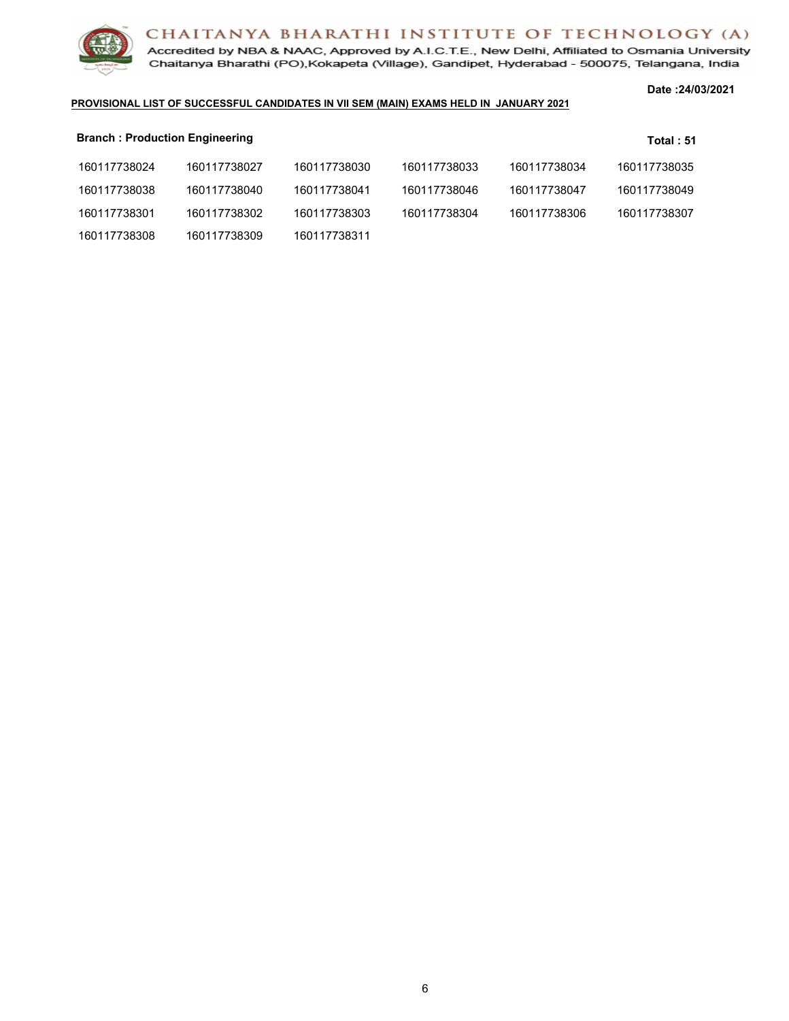

Accredited by NBA & NAAC, Approved by A.I.C.T.E., New Delhi, Affiliated to Osmania University Chaitanya Bharathi (PO), Kokapeta (Village), Gandipet, Hyderabad - 500075, Telangana, India

#### **Date :24/03/2021**

#### **PROVISIONAL LIST OF SUCCESSFUL CANDIDATES IN VII SEM (MAIN) EXAMS HELD IN JANUARY 2021**

| <b>Branch: Production Engineering</b> |              |              |              |              | Total: 51    |
|---------------------------------------|--------------|--------------|--------------|--------------|--------------|
| 160117738024                          | 160117738027 | 160117738030 | 160117738033 | 160117738034 | 160117738035 |
| 160117738038                          | 160117738040 | 160117738041 | 160117738046 | 160117738047 | 160117738049 |
| 160117738301                          | 160117738302 | 160117738303 | 160117738304 | 160117738306 | 160117738307 |
| 160117738308                          | 160117738309 | 160117738311 |              |              |              |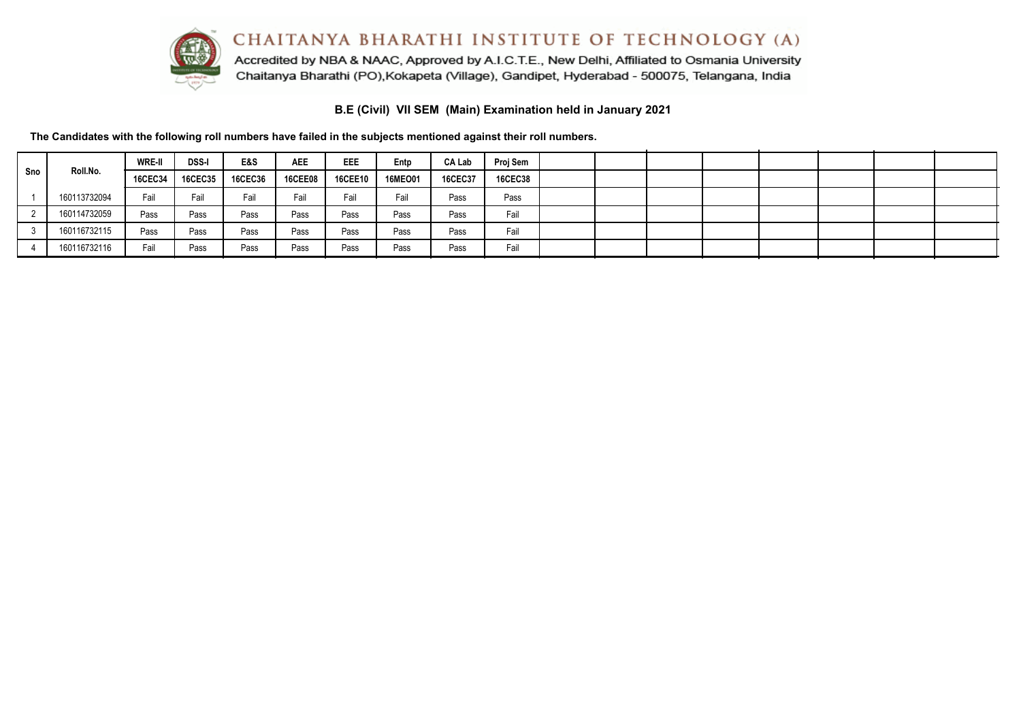

Accredited by NBA & NAAC, Approved by A.I.C.T.E., New Delhi, Affiliated to Osmania University Chaitanya Bharathi (PO), Kokapeta (Village), Gandipet, Hyderabad - 500075, Telangana, India

**B.E (Civil) VII SEM (Main) Examination held in January 2021**

|     |              | <b>WRE-II</b>  | <b>DSS-I</b>   | E&S     | <b>AEE</b>     | EEE            | Entp    | CA Lab         | Proj Sem       |  |  |  |  |
|-----|--------------|----------------|----------------|---------|----------------|----------------|---------|----------------|----------------|--|--|--|--|
| Sno | Roll.No.     | <b>16CEC34</b> | <b>16CEC35</b> | 16CEC36 | <b>16CEE08</b> | <b>16CEE10</b> | 16MEO01 | <b>16CEC37</b> | <b>16CEC38</b> |  |  |  |  |
|     | 160113732094 | Fail           | Fail           | Fail    | Fail           | Fail           | Fail    | Pass           | Pass           |  |  |  |  |
|     | 160114732059 | Pass           | Pass           | Pass    | Pass           | Pass           | Pass    | Pass           | Fail           |  |  |  |  |
|     | 160116732115 | Pass           | Pass           | Pass    | Pass           | Pass           | Pass    | Pass           | Fail           |  |  |  |  |
|     | 160116732116 | Fail           | Pass           | Pass    | Pass           | Pass           | Pass    | Pass           | Fail           |  |  |  |  |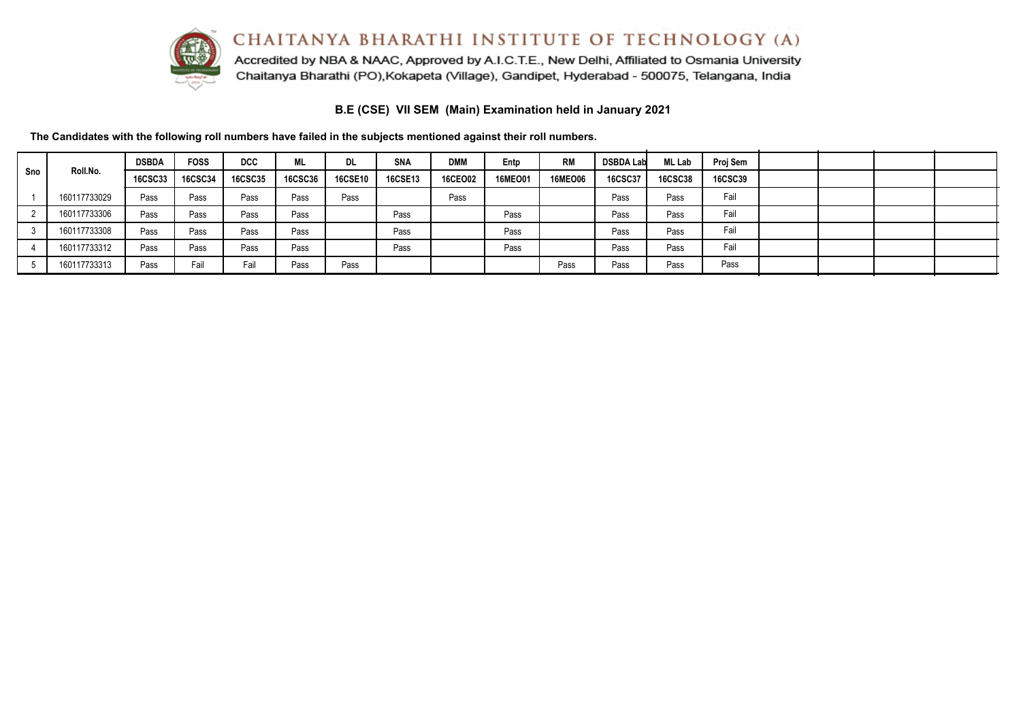

Accredited by NBA & NAAC, Approved by A.I.C.T.E., New Delhi, Affiliated to Osmania University Chaitanya Bharathi (PO), Kokapeta (Village), Gandipet, Hyderabad - 500075, Telangana, India

**B.E (CSE) VII SEM (Main) Examination held in January 2021**

|     |              | <b>DSBDA</b>   | <b>FOSS</b>    | <b>DCC</b>     | ML             | DL.            | <b>SNA</b>     | <b>DMM</b>     | Entp           | <b>RM</b>      | <b>DSBDA Lab</b> | <b>ML Lab</b>  | Proj Sem       |  |  |
|-----|--------------|----------------|----------------|----------------|----------------|----------------|----------------|----------------|----------------|----------------|------------------|----------------|----------------|--|--|
| Sno | Roll.No.     | <b>16CSC33</b> | <b>16CSC34</b> | <b>16CSC35</b> | <b>16CSC36</b> | <b>16CSE10</b> | <b>16CSE13</b> | <b>16CEO02</b> | <b>16MEO01</b> | <b>16MEO06</b> | 16CSC37          | <b>16CSC38</b> | <b>16CSC39</b> |  |  |
|     | 160117733029 | Pass           | Pass           | Pass           | Pass           | Pass           |                | Pass           |                |                | Pass             | Pass           | Fail           |  |  |
|     | 160117733306 | Pass           | Pass           | Pass           | Pass           |                | Pass           |                | Pass           |                | Pass             | Pass           | Fail           |  |  |
|     | 160117733308 | Pass           | Pass           | Pass           | Pass           |                | Pass           |                | Pass           |                | Pass             | Pass           | Fail           |  |  |
|     | 160117733312 | Pass           | Pass           | Pass           | Pass           |                | Pass           |                | Pass           |                | Pass             | Pass           | Fail           |  |  |
|     | 160117733313 | Pass           | Fail           | Fail           | Pass           | Pass           |                |                |                | Pass           | Pass             | Pass           | Pass           |  |  |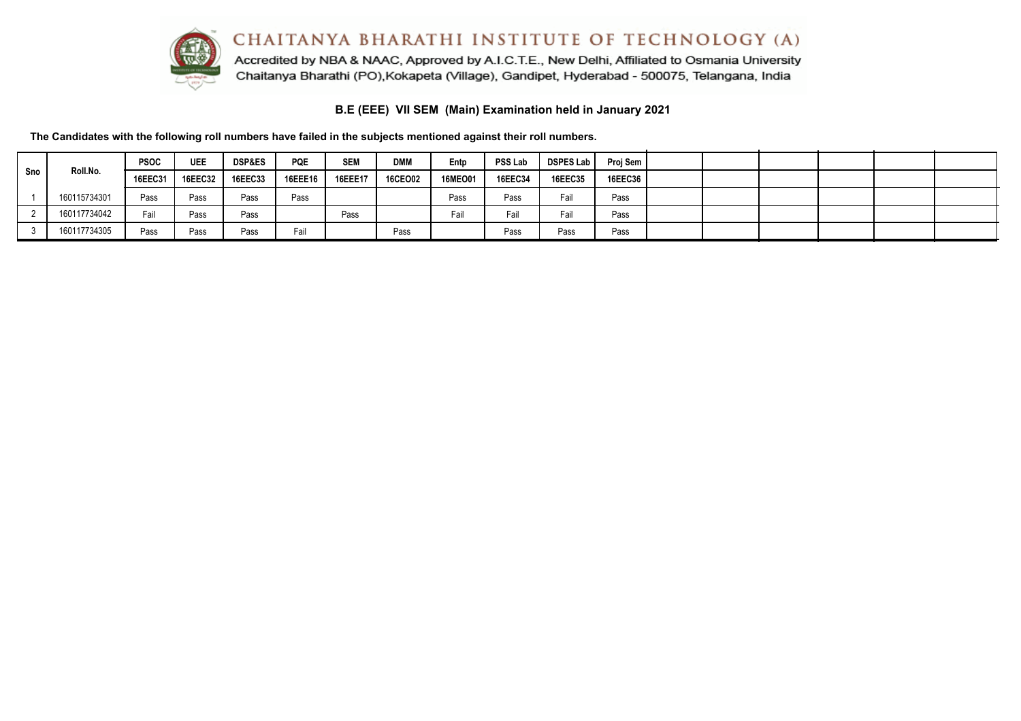

Accredited by NBA & NAAC, Approved by A.I.C.T.E., New Delhi, Affiliated to Osmania University Chaitanya Bharathi (PO), Kokapeta (Village), Gandipet, Hyderabad - 500075, Telangana, India

**B.E (EEE) VII SEM (Main) Examination held in January 2021**

|     |              | <b>PSOC</b>    | <b>UEE</b> | <b>DSP&amp;ES</b> | <b>PQE</b>     | <b>SEM</b>     | <b>DMM</b>     | Entp           | <b>PSS Lab</b> | DSPES Lab | Proj Sem       |  |  |  |
|-----|--------------|----------------|------------|-------------------|----------------|----------------|----------------|----------------|----------------|-----------|----------------|--|--|--|
| Sno | Roll.No.     | <b>16EEC31</b> | 16EEC32    | <b>16EEC33</b>    | <b>16EEE16</b> | <b>16EEE17</b> | <b>16CEO02</b> | <b>16MEO01</b> | <b>16EEC34</b> | 16EEC35   | <b>16EEC36</b> |  |  |  |
|     | 160115734301 | Pass           | Pass       | Pass              | Pass           |                |                | Pass           | Pass           | Fail      | Pass           |  |  |  |
|     | 160117734042 | Fail           | Pass       | Pass              |                | Pass           |                | Fail           | Fail           | Fail      | Pass           |  |  |  |
|     | 160117734305 | Pass           | Pass       | Pass              | Fail           |                | Pass           |                | Pass           | Pass      | Pass           |  |  |  |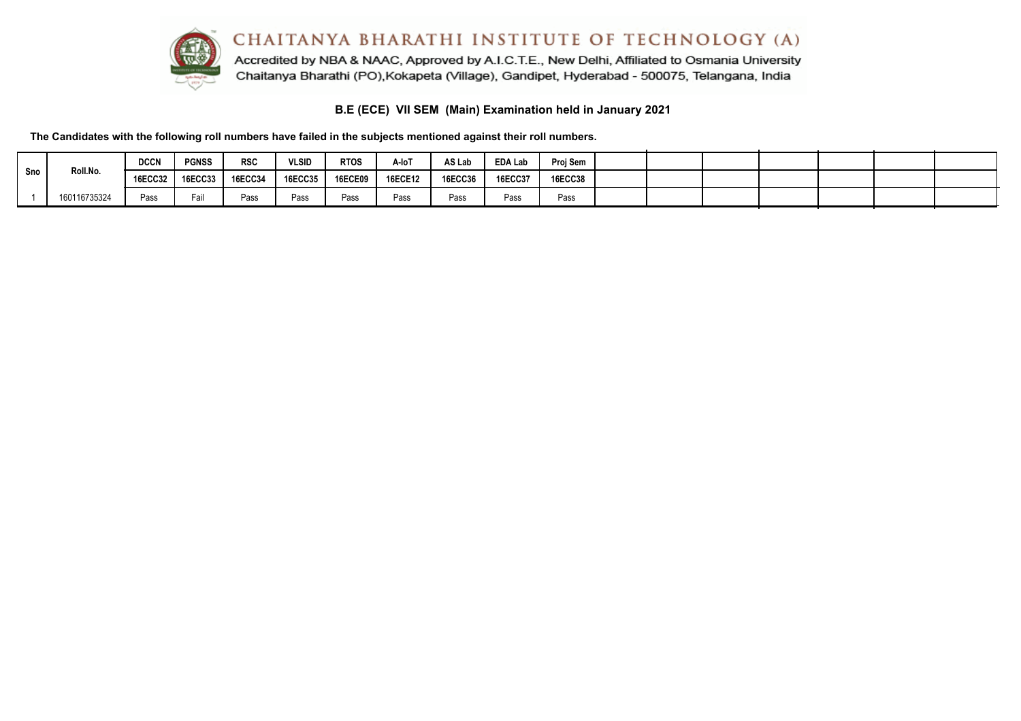

Accredited by NBA & NAAC, Approved by A.I.C.T.E., New Delhi, Affiliated to Osmania University Chaitanya Bharathi (PO), Kokapeta (Village), Gandipet, Hyderabad - 500075, Telangana, India

**B.E (ECE) VII SEM (Main) Examination held in January 2021**

**The Candidates with the following roll numbers have failed in the subjects mentioned against their roll numbers.**

|     |              | <b>DCCN</b>       | <b>PGNSS</b> | <b>RSC</b>     | <b>VLSID</b>   | <b>RTOS</b>    | A-IoT          | AS Lab  | <b>EDA Lab</b> | Proj Sem       |  |  |  |  |
|-----|--------------|-------------------|--------------|----------------|----------------|----------------|----------------|---------|----------------|----------------|--|--|--|--|
| Sno | Roll.No.     | 16ECC32   16ECC33 |              | <b>16ECC34</b> | <b>16ECC35</b> | <b>16ECE09</b> | <b>16ECE12</b> | 16ECC36 | <b>16ECC37</b> | <b>16ECC38</b> |  |  |  |  |
|     | 160116735324 | Pass              | Fail         | Pass           | Pass           | Pass           | Pass           | Pass    | Pass           | Pass           |  |  |  |  |

 $\sim$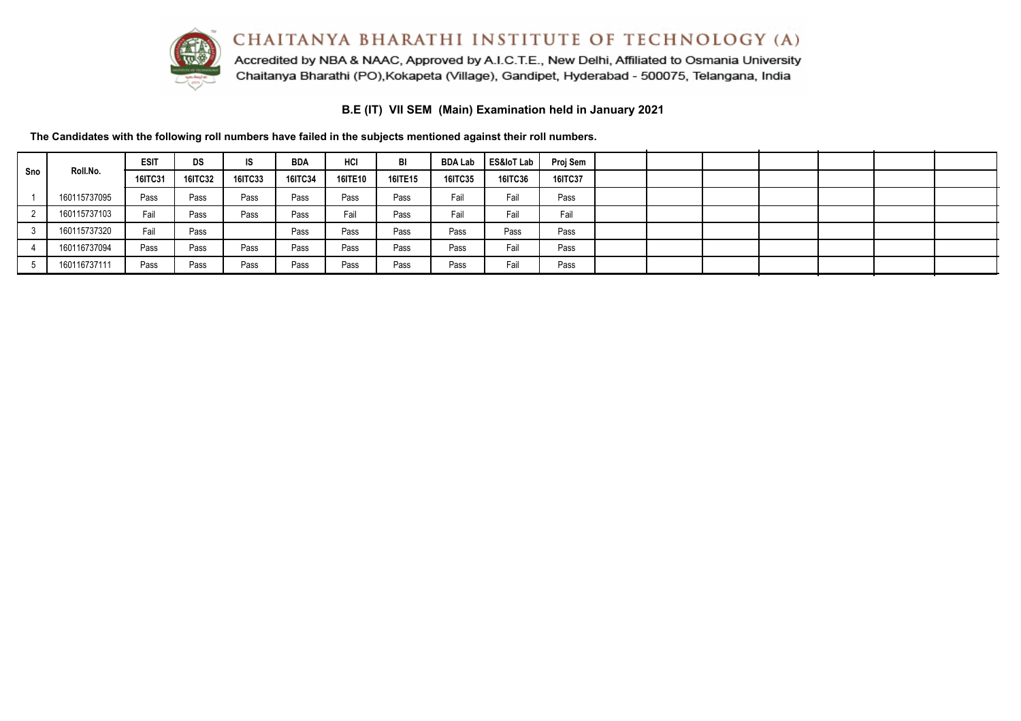CHAITANYA BHARATHI INSTITUTE OF TECHNOLOGY (A) Accredited by NBA & NAAC, Approved by A.I.C.T.E., New Delhi, Affiliated to Osmania University



Chaitanya Bharathi (PO), Kokapeta (Village), Gandipet, Hyderabad - 500075, Telangana, India

**B.E (IT) VII SEM (Main) Examination held in January 2021**

|     |              | <b>ESIT</b> | DS      | IS.            | <b>BDA</b>     | HCI            | BI             | <b>BDA Lab</b> | ES&loT Lab | Proj Sem       |  |  |  |  |
|-----|--------------|-------------|---------|----------------|----------------|----------------|----------------|----------------|------------|----------------|--|--|--|--|
| Sno | Roll.No.     | 16ITC31     | 16ITC32 | <b>16ITC33</b> | <b>16ITC34</b> | <b>16ITE10</b> | <b>16ITE15</b> | <b>16ITC35</b> | 16ITC36    | <b>16ITC37</b> |  |  |  |  |
|     | 160115737095 | Pass        | Pass    | Pass           | Pass           | Pass           | Pass           | Fail           | Fail       | Pass           |  |  |  |  |
|     | 160115737103 | Fail        | Pass    | Pass           | Pass           | Fail           | Pass           | Fail           | Fail       | Fail           |  |  |  |  |
|     | 160115737320 | Fail        | Pass    |                | Pass           | Pass           | Pass           | Pass           | Pass       | Pass           |  |  |  |  |
|     | 160116737094 | Pass        | Pass    | Pass           | Pass           | Pass           | Pass           | Pass           | Fail       | Pass           |  |  |  |  |
|     | 160116737111 | Pass        | Pass    | Pass           | Pass           | Pass           | Pass           | Pass           | Fail       | Pass           |  |  |  |  |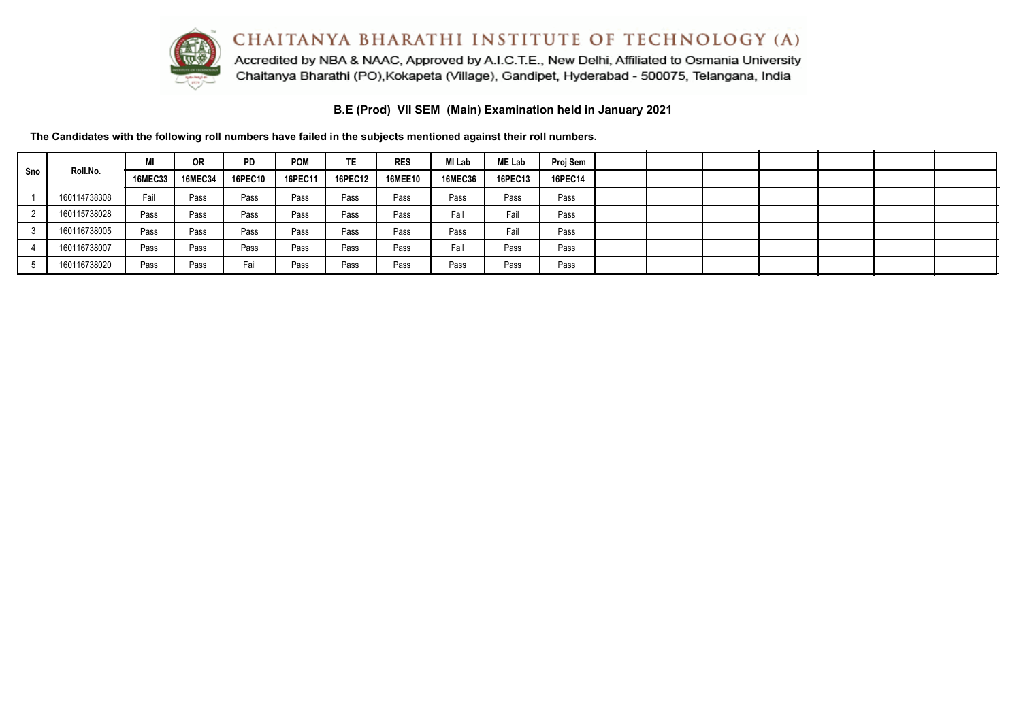

Accredited by NBA & NAAC, Approved by A.I.C.T.E., New Delhi, Affiliated to Osmania University Chaitanya Bharathi (PO), Kokapeta (Village), Gandipet, Hyderabad - 500075, Telangana, India

**B.E (Prod) VII SEM (Main) Examination held in January 2021**

|     |              | MI             | 0R             | <b>PD</b>      | <b>POM</b> | TE.            | <b>RES</b>     | MI Lab         | <b>ME Lab</b>  | Proj Sem       |  |  |  |  |
|-----|--------------|----------------|----------------|----------------|------------|----------------|----------------|----------------|----------------|----------------|--|--|--|--|
| Sno | Roll.No.     | <b>16MEC33</b> | <b>16MEC34</b> | <b>16PEC10</b> | 16PEC11    | <b>16PEC12</b> | <b>16MEE10</b> | <b>16MEC36</b> | <b>16PEC13</b> | <b>16PEC14</b> |  |  |  |  |
|     | 160114738308 | Fail           | Pass           | Pass           | Pass       | Pass           | Pass           | Pass           | Pass           | Pass           |  |  |  |  |
|     | 160115738028 | Pass           | Pass           | Pass           | Pass       | Pass           | Pass           | Fail           | Fail           | Pass           |  |  |  |  |
|     | 160116738005 | Pass           | Pass           | Pass           | Pass       | Pass           | Pass           | Pass           | Fail           | Pass           |  |  |  |  |
|     | 160116738007 | Pass           | Pass           | Pass           | Pass       | Pass           | Pass           | Fail           | Pass           | Pass           |  |  |  |  |
|     | 160116738020 | Pass           | Pass           | Fail           | Pass       | Pass           | Pass           | Pass           | Pass           | Pass           |  |  |  |  |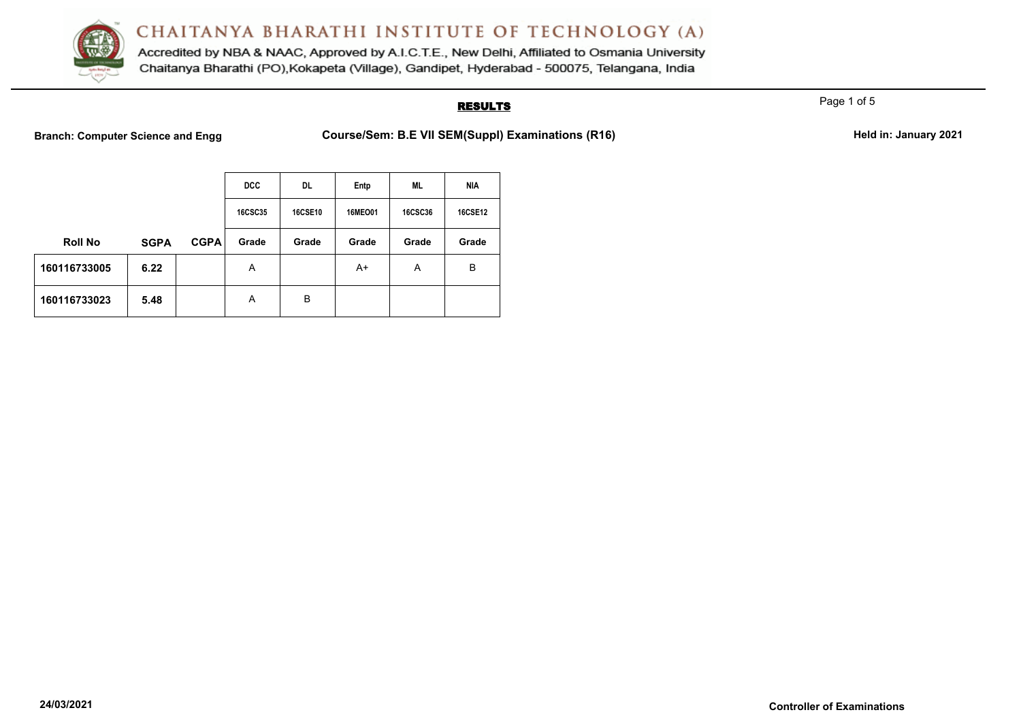

Accredited by NBA & NAAC, Approved by A.I.C.T.E., New Delhi, Affiliated to Osmania University Chaitanya Bharathi (PO), Kokapeta (Village), Gandipet, Hyderabad - 500075, Telangana, India

## **RESULTS**

Page 1 of 5

Branch: Computer Science and Engg **Course/Sem: B.E VII SEM(Suppl) Examinations (R16)** Held in: January 2021

|                |             |             | <b>DCC</b>     | DL.            | Entp    | <b>ML</b>      | <b>NIA</b>     |
|----------------|-------------|-------------|----------------|----------------|---------|----------------|----------------|
|                |             |             | <b>16CSC35</b> | <b>16CSE10</b> | 16MEO01 | <b>16CSC36</b> | <b>16CSE12</b> |
| <b>Roll No</b> | <b>SGPA</b> | <b>CGPA</b> | Grade          | Grade          | Grade   | Grade          | Grade          |
| 160116733005   | 6.22        |             | A              |                | A+      | A              | B              |
| 160116733023   | 5.48        |             | A              | B              |         |                |                |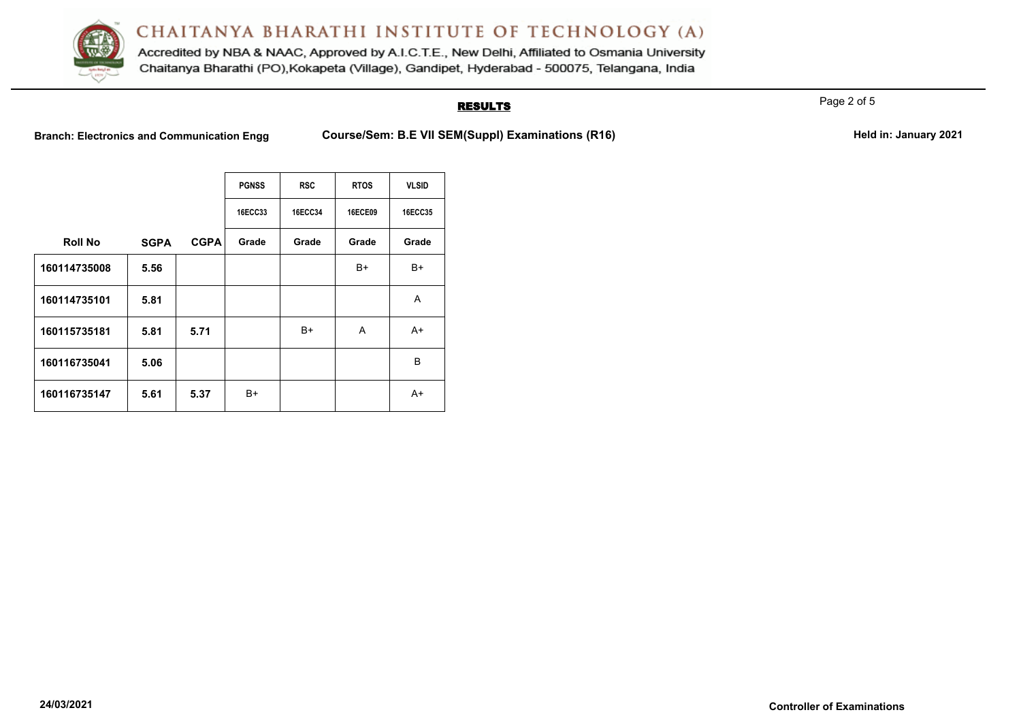

Accredited by NBA & NAAC, Approved by A.I.C.T.E., New Delhi, Affiliated to Osmania University Chaitanya Bharathi (PO), Kokapeta (Village), Gandipet, Hyderabad - 500075, Telangana, India

## **RESULTS**

Page 2 of 5

Branch: Electronics and Communication Engg Course/Sem: B.E VII SEM(Suppl) Examinations (R16) **Held in: January 2021** 

|                |             |             | <b>PGNSS</b>   | <b>RSC</b>     | <b>RTOS</b>    | <b>VLSID</b>   |
|----------------|-------------|-------------|----------------|----------------|----------------|----------------|
|                |             |             | <b>16ECC33</b> | <b>16ECC34</b> | <b>16ECE09</b> | <b>16ECC35</b> |
| <b>Roll No</b> | <b>SGPA</b> | <b>CGPA</b> | Grade          | Grade          | Grade          | Grade          |
| 160114735008   | 5.56        |             |                |                | B+             | B+             |
| 160114735101   | 5.81        |             |                |                |                | Α              |
| 160115735181   | 5.81        | 5.71        |                | B+             | A              | A+             |
| 160116735041   | 5.06        |             |                |                |                | B              |
| 160116735147   | 5.61        | 5.37        | B+             |                |                | $A+$           |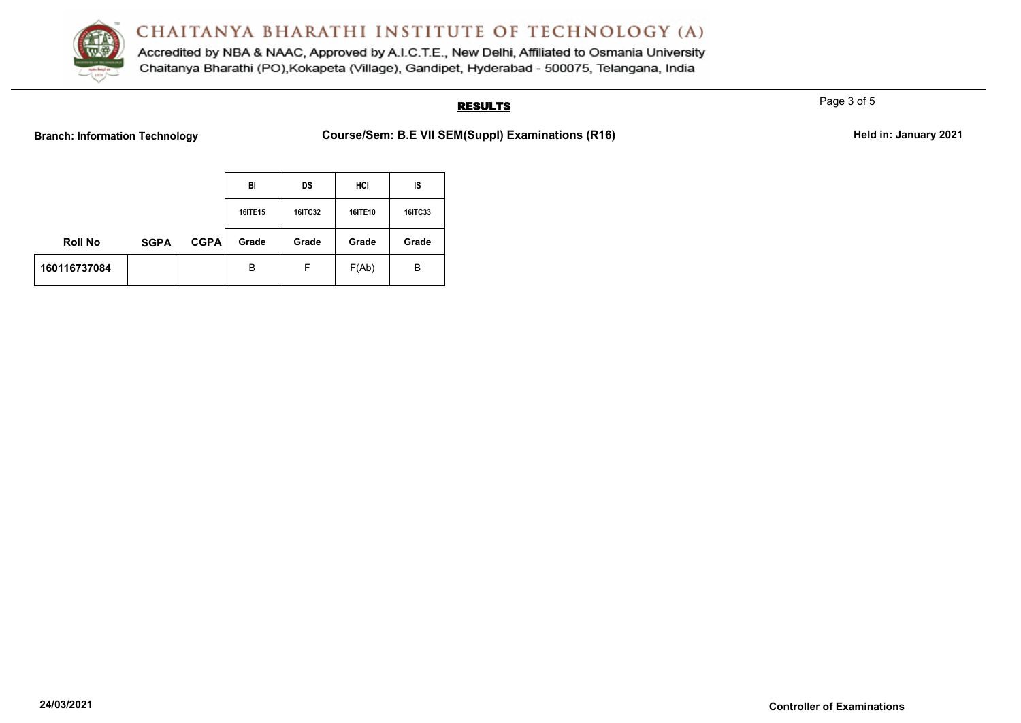

Accredited by NBA & NAAC, Approved by A.I.C.T.E., New Delhi, Affiliated to Osmania University Chaitanya Bharathi (PO), Kokapeta (Village), Gandipet, Hyderabad - 500075, Telangana, India

## **RESULTS**

Page 3 of 5

Branch: Information Technology **Course/Sem: B.E VII SEM(Suppl) Examinations (R16)** Held in: January 2021

|                |             |             | BI      | DS             | HCI     | IS      |
|----------------|-------------|-------------|---------|----------------|---------|---------|
|                |             |             | 16ITE15 | <b>16ITC32</b> | 16ITE10 | 16ITC33 |
| <b>Roll No</b> | <b>SGPA</b> | <b>CGPA</b> | Grade   | Grade          | Grade   | Grade   |
| 160116737084   |             |             | B       | F              | F(Ab)   | в       |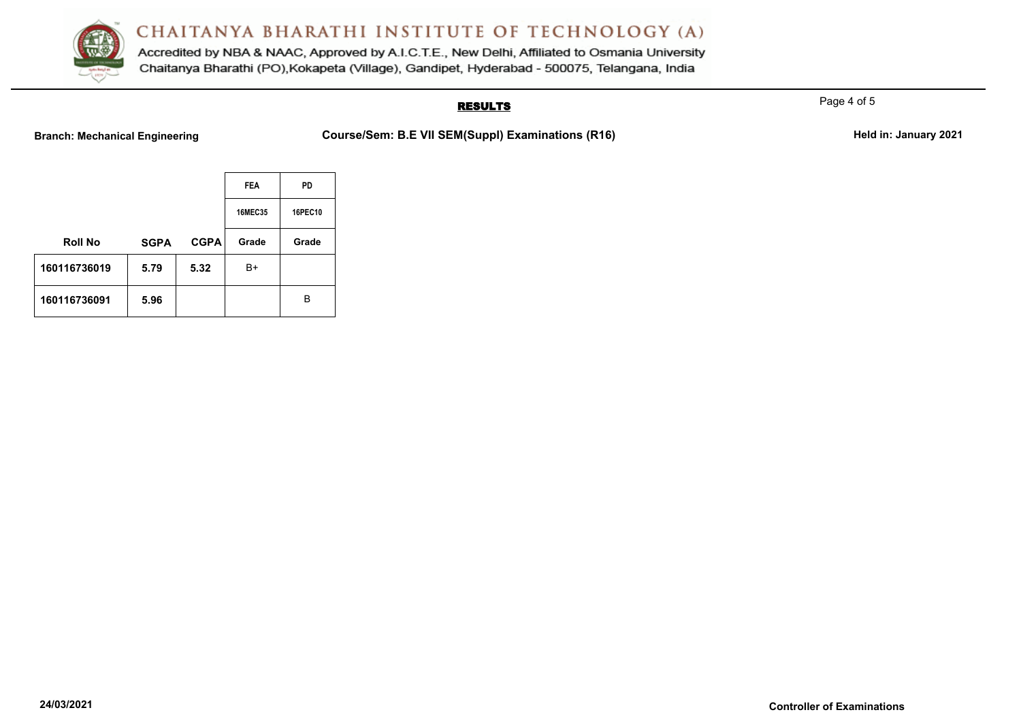

Accredited by NBA & NAAC, Approved by A.I.C.T.E., New Delhi, Affiliated to Osmania University Chaitanya Bharathi (PO), Kokapeta (Village), Gandipet, Hyderabad - 500075, Telangana, India

### **RESULTS**

Page 4 of 5

Branch: Mechanical Engineering **Course/Sem: B.E VII SEM(Suppl) Examinations (R16)** Held in: January 2021

|                |             |             | <b>FEA</b>     | PD             |
|----------------|-------------|-------------|----------------|----------------|
|                |             |             | <b>16MEC35</b> | <b>16PEC10</b> |
| <b>Roll No</b> | <b>SGPA</b> | <b>CGPA</b> | Grade          | Grade          |
| 160116736019   | 5.79        | 5.32        | B+             |                |
| 160116736091   | 5.96        |             |                | в              |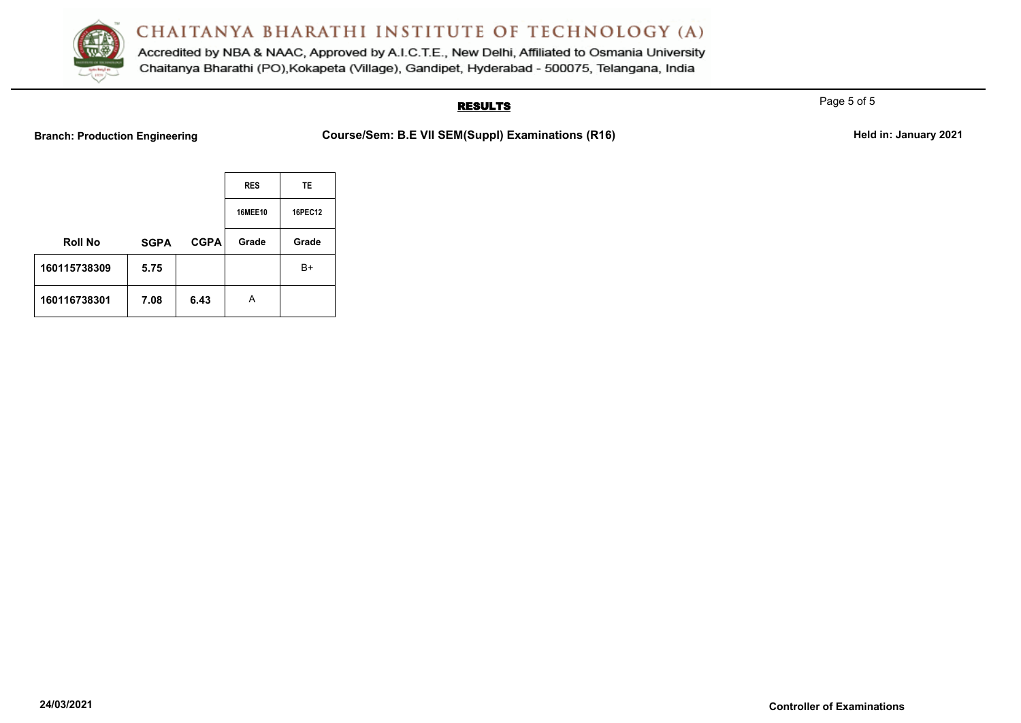

Accredited by NBA & NAAC, Approved by A.I.C.T.E., New Delhi, Affiliated to Osmania University Chaitanya Bharathi (PO), Kokapeta (Village), Gandipet, Hyderabad - 500075, Telangana, India

### **RESULTS**

Page 5 of 5

Branch: Production Engineering **Course/Sem: B.E VII SEM(Suppl) Examinations (R16)** Held in: January 2021

|                |             |             | <b>RES</b>     | TE.     |
|----------------|-------------|-------------|----------------|---------|
|                |             |             | <b>16MEE10</b> | 16PEC12 |
| <b>Roll No</b> | <b>SGPA</b> | <b>CGPA</b> | Grade          | Grade   |
| 160115738309   | 5.75        |             |                | B+      |
| 160116738301   | 7.08        | 6.43        | А              |         |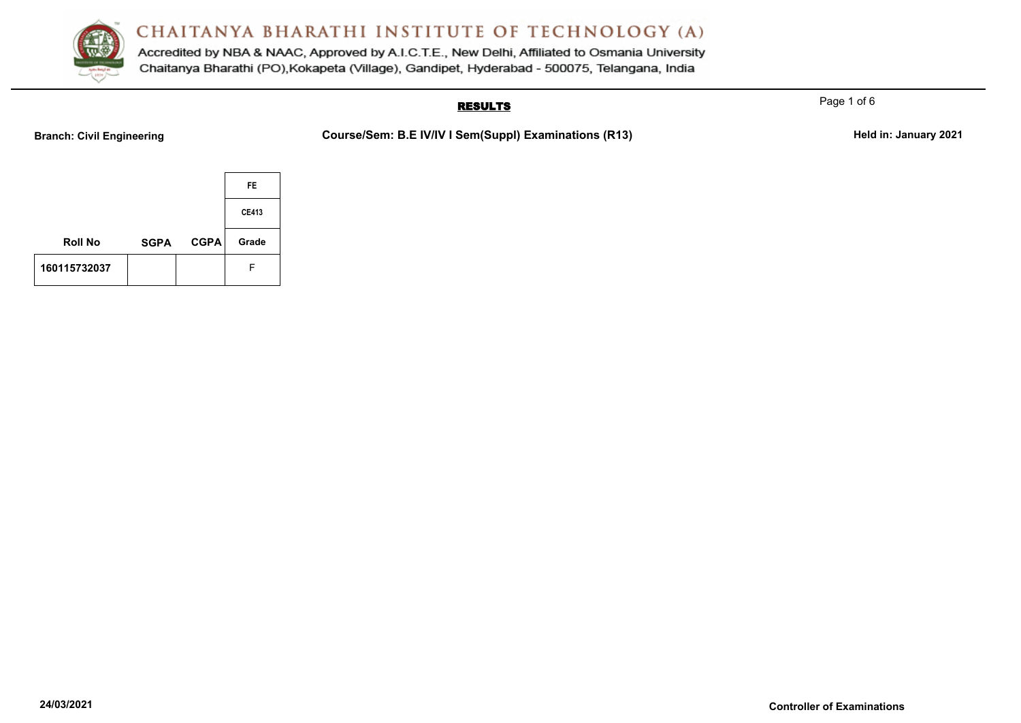

Accredited by NBA & NAAC, Approved by A.I.C.T.E., New Delhi, Affiliated to Osmania University Chaitanya Bharathi (PO), Kokapeta (Village), Gandipet, Hyderabad - 500075, Telangana, India

## **RESULTS**

Branch: Civil Engineering **Course/Sem: B.E IV/IV I Sem(Suppl) Examinations (R13)** Held in: January 2021

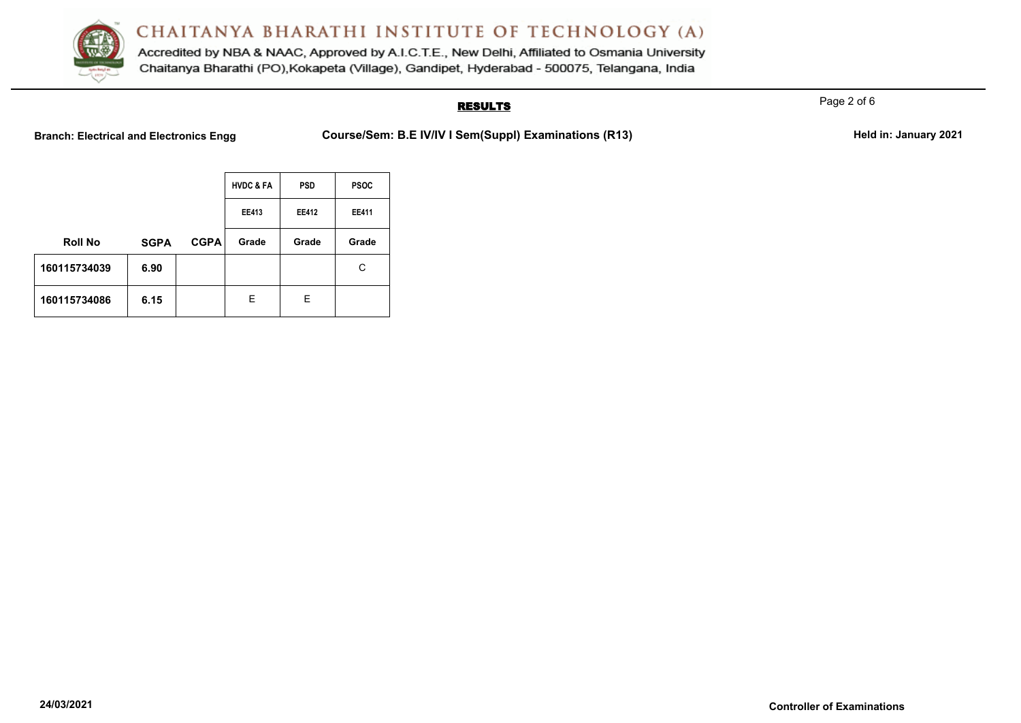

Accredited by NBA & NAAC, Approved by A.I.C.T.E., New Delhi, Affiliated to Osmania University Chaitanya Bharathi (PO), Kokapeta (Village), Gandipet, Hyderabad - 500075, Telangana, India

## **RESULTS**

Branch: Electrical and Electronics Engg **Course/Sem: B.E IV/IV I Sem(Suppl) Examinations (R13)** Held in: January 2021

|                |             |             | <b>HVDC &amp; FA</b> | <b>PSD</b>   | <b>PSOC</b>  |
|----------------|-------------|-------------|----------------------|--------------|--------------|
|                |             |             | <b>EE413</b>         | <b>EE412</b> | <b>EE411</b> |
| <b>Roll No</b> | <b>SGPA</b> | <b>CGPA</b> | Grade                | Grade        | Grade        |
| 160115734039   | 6.90        |             |                      |              | C            |
| 160115734086   | 6.15        |             | Е                    | Е            |              |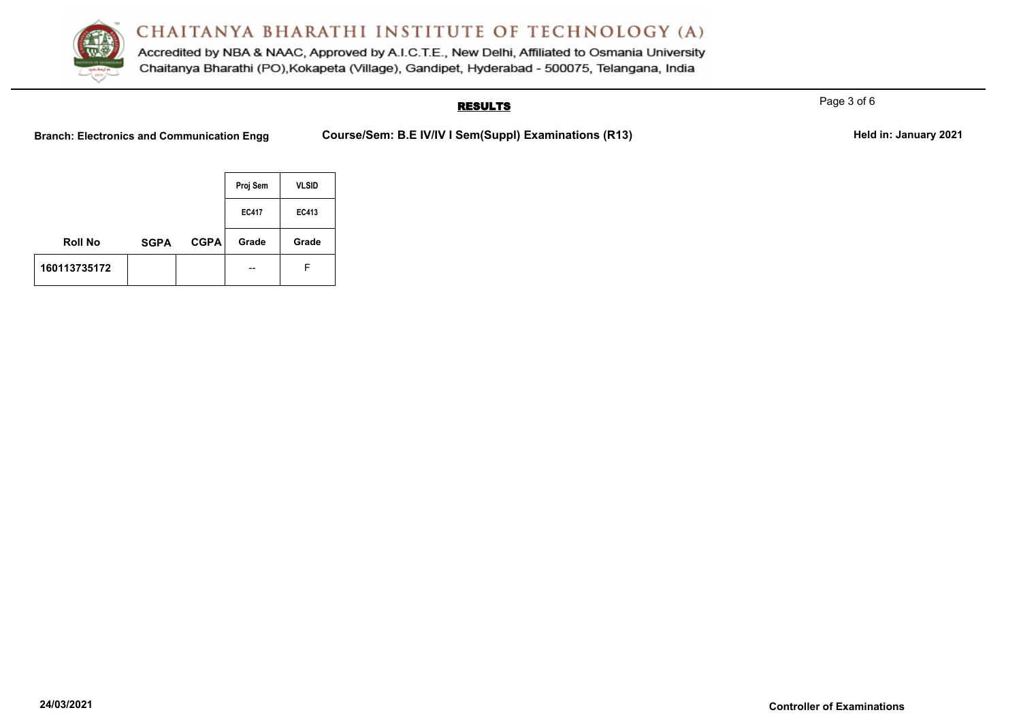

Accredited by NBA & NAAC, Approved by A.I.C.T.E., New Delhi, Affiliated to Osmania University Chaitanya Bharathi (PO), Kokapeta (Village), Gandipet, Hyderabad - 500075, Telangana, India

## **RESULTS**

Branch: Electronics and Communication Engg Course/Sem: B.E IV/IV I Sem(Suppl) Examinations (R13) Held in: January 2021

|                |             |             | Proj Sem     | <b>VLSID</b> |
|----------------|-------------|-------------|--------------|--------------|
|                |             |             | <b>EC417</b> | EC413        |
| <b>Roll No</b> | <b>SGPA</b> | <b>CGPA</b> | Grade        | Grade        |
| 160113735172   |             |             |              | F            |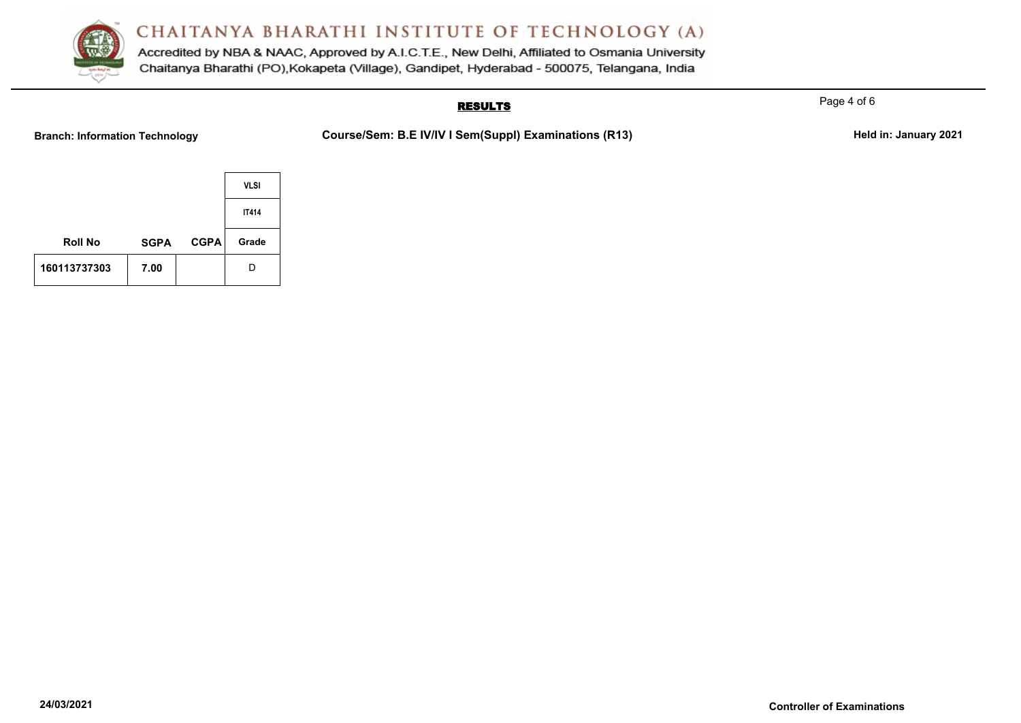

Accredited by NBA & NAAC, Approved by A.I.C.T.E., New Delhi, Affiliated to Osmania University Chaitanya Bharathi (PO), Kokapeta (Village), Gandipet, Hyderabad - 500075, Telangana, India

## **RESULTS**

Branch: Information Technology **Course/Sem: B.E IV/IV I Sem(Suppl) Examinations (R13)** Held in: January 2021

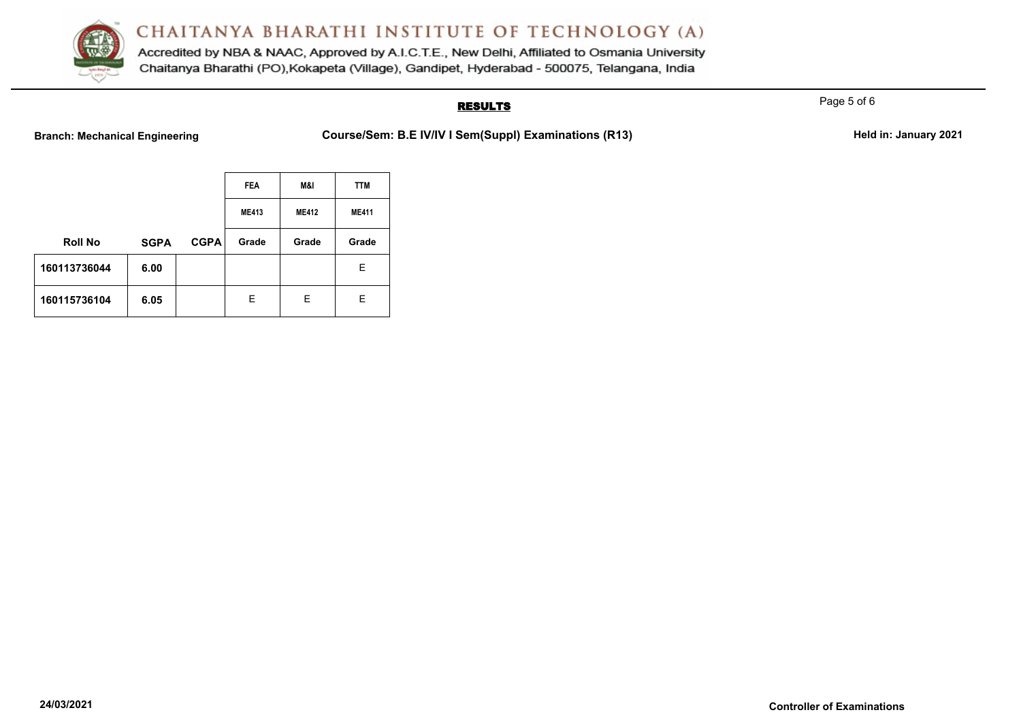

Accredited by NBA & NAAC, Approved by A.I.C.T.E., New Delhi, Affiliated to Osmania University Chaitanya Bharathi (PO), Kokapeta (Village), Gandipet, Hyderabad - 500075, Telangana, India

## **RESULTS**

Branch: Mechanical Engineering **Course/Sem: B.E IV/IV I Sem(Suppl) Examinations (R13)** Held in: January 2021

|                |             |             | <b>FEA</b>   | M&I          | <b>TTM</b>   |
|----------------|-------------|-------------|--------------|--------------|--------------|
|                |             |             | <b>ME413</b> | <b>ME412</b> | <b>ME411</b> |
| <b>Roll No</b> | <b>SGPA</b> | <b>CGPA</b> | Grade        | Grade        | Grade        |
| 160113736044   | 6.00        |             |              |              | Ε            |
| 160115736104   | 6.05        |             | E.           | E.           | Е            |